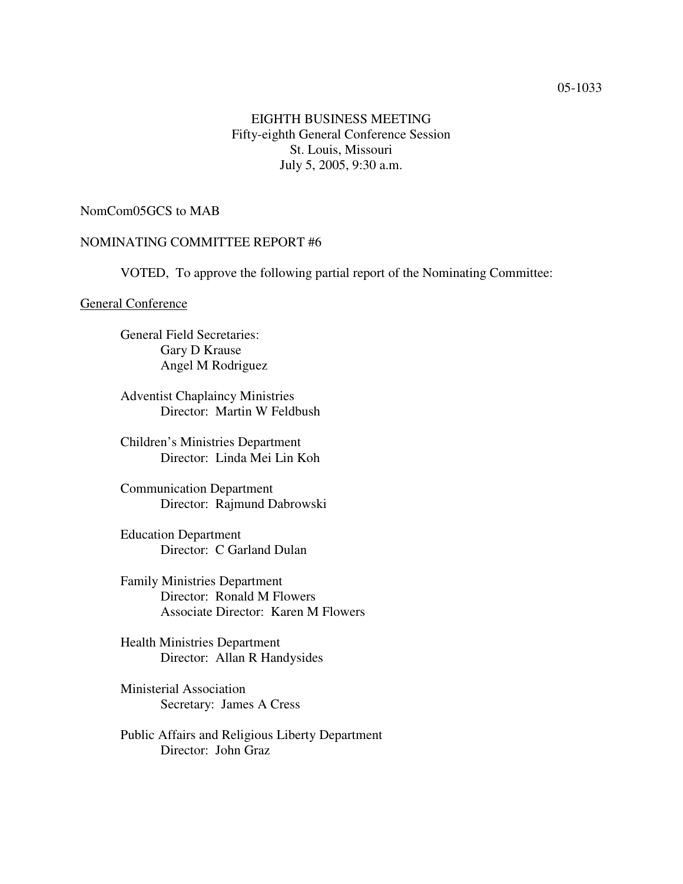#### 05-1033

## EIGHTH BUSINESS MEETING Fifty-eighth General Conference Session St. Louis, Missouri July 5, 2005, 9:30 a.m.

### NomCom05GCS to MAB

### NOMINATING COMMITTEE REPORT #6

VOTED, To approve the following partial report of the Nominating Committee:

#### General Conference

General Field Secretaries: Gary D Krause Angel M Rodriguez

Adventist Chaplaincy Ministries Director: Martin W Feldbush

Children's Ministries Department Director: Linda Mei Lin Koh

Communication Department Director: Rajmund Dabrowski

Education Department Director: C Garland Dulan

Family Ministries Department Director: Ronald M Flowers Associate Director: Karen M Flowers

Health Ministries Department Director: Allan R Handysides

Ministerial Association Secretary: James A Cress

Public Affairs and Religious Liberty Department Director: John Graz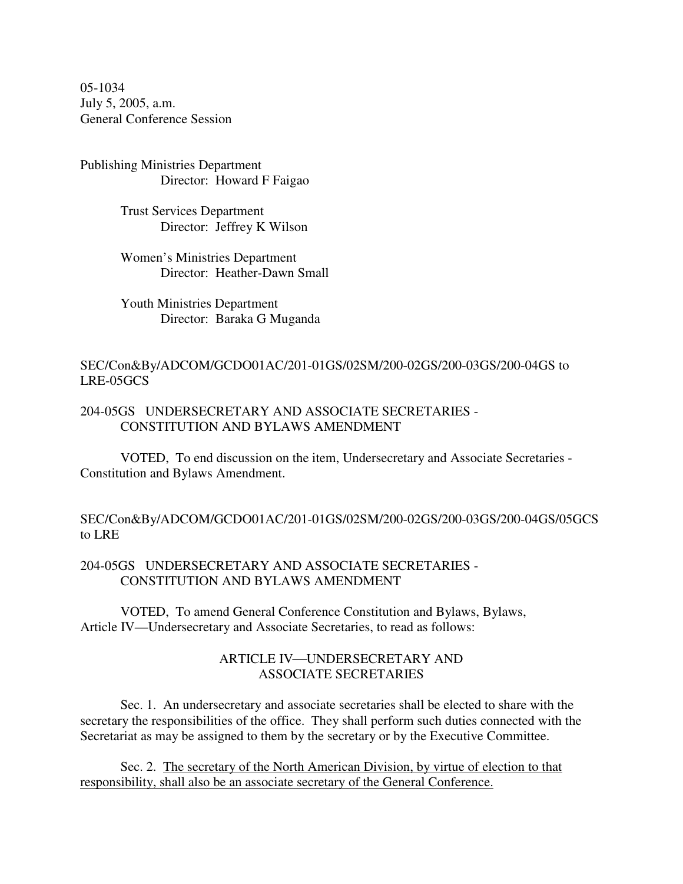05-1034 July 5, 2005, a.m. General Conference Session

Publishing Ministries Department Director: Howard F Faigao

> Trust Services Department Director: Jeffrey K Wilson

Women's Ministries Department Director: Heather-Dawn Small

Youth Ministries Department Director: Baraka G Muganda

### SEC/Con&By/ADCOM/GCDO01AC/201-01GS/02SM/200-02GS/200-03GS/200-04GS to LRE-05GCS

### 204-05GS UNDERSECRETARY AND ASSOCIATE SECRETARIES - CONSTITUTION AND BYLAWS AMENDMENT

VOTED, To end discussion on the item, Undersecretary and Associate Secretaries - Constitution and Bylaws Amendment.

SEC/Con&By/ADCOM/GCDO01AC/201-01GS/02SM/200-02GS/200-03GS/200-04GS/05GCS to LRE

### 204-05GS UNDERSECRETARY AND ASSOCIATE SECRETARIES - CONSTITUTION AND BYLAWS AMENDMENT

VOTED, To amend General Conference Constitution and Bylaws, Bylaws, Article IV—Undersecretary and Associate Secretaries, to read as follows:

# ARTICLE IV-UNDERSECRETARY AND ASSOCIATE SECRETARIES

Sec. 1. An undersecretary and associate secretaries shall be elected to share with the secretary the responsibilities of the office. They shall perform such duties connected with the Secretariat as may be assigned to them by the secretary or by the Executive Committee.

Sec. 2. The secretary of the North American Division, by virtue of election to that responsibility, shall also be an associate secretary of the General Conference.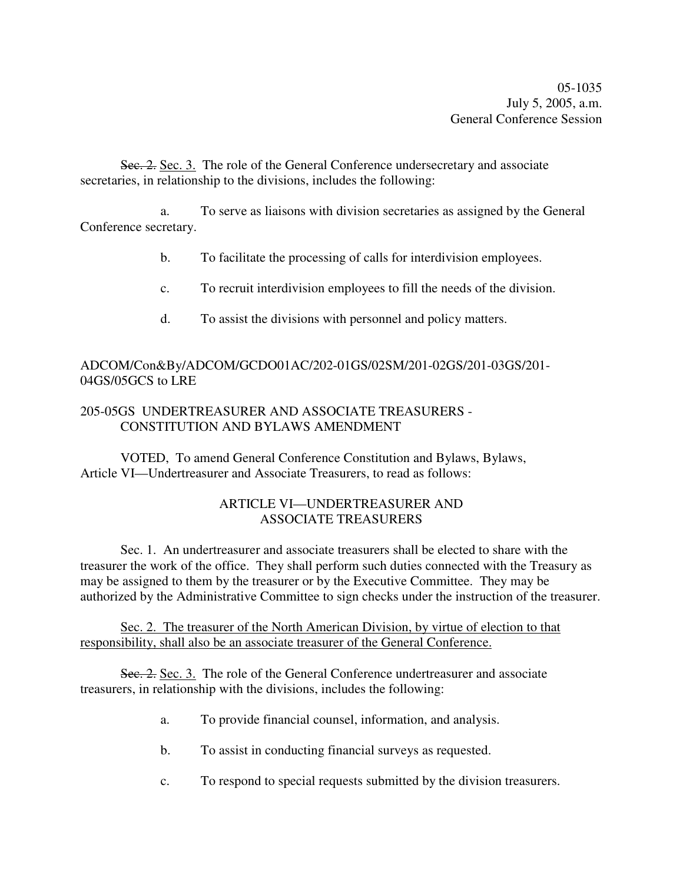Sec. 2. Sec. 3. The role of the General Conference undersecretary and associate secretaries, in relationship to the divisions, includes the following:

a. To serve as liaisons with division secretaries as assigned by the General Conference secretary.

- b. To facilitate the processing of calls for interdivision employees.
- c. To recruit interdivision employees to fill the needs of the division.
- d. To assist the divisions with personnel and policy matters.

## ADCOM/Con&By/ADCOM/GCDO01AC/202-01GS/02SM/201-02GS/201-03GS/201- 04GS/05GCS to LRE

## 205-05GS UNDERTREASURER AND ASSOCIATE TREASURERS - CONSTITUTION AND BYLAWS AMENDMENT

VOTED, To amend General Conference Constitution and Bylaws, Bylaws, Article VI—Undertreasurer and Associate Treasurers, to read as follows:

# ARTICLE VI—UNDERTREASURER AND ASSOCIATE TREASURERS

Sec. 1. An undertreasurer and associate treasurers shall be elected to share with the treasurer the work of the office. They shall perform such duties connected with the Treasury as may be assigned to them by the treasurer or by the Executive Committee. They may be authorized by the Administrative Committee to sign checks under the instruction of the treasurer.

Sec. 2. The treasurer of the North American Division, by virtue of election to that responsibility, shall also be an associate treasurer of the General Conference.

Sec. 2. Sec. 3. The role of the General Conference undertreasurer and associate treasurers, in relationship with the divisions, includes the following:

- a. To provide financial counsel, information, and analysis.
- b. To assist in conducting financial surveys as requested.
- c. To respond to special requests submitted by the division treasurers.